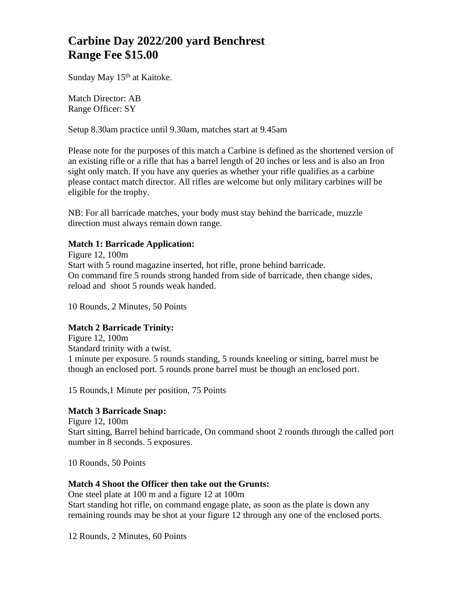# **Carbine Day 2022/200 yard Benchrest Range Fee \$15.00**

Sunday May 15<sup>th</sup> at Kaitoke.

Match Director: AB Range Officer: SY

Setup 8.30am practice until 9.30am, matches start at 9.45am

Please note for the purposes of this match a Carbine is defined as the shortened version of an existing rifle or a rifle that has a barrel length of 20 inches or less and is also an Iron sight only match. If you have any queries as whether your rifle qualifies as a carbine please contact match director. All rifles are welcome but only military carbines will be eligible for the trophy.

NB: For all barricade matches, your body must stay behind the barricade, muzzle direction must always remain down range.

# **Match 1: Barricade Application:**

Figure 12, 100m Start with 5 round magazine inserted, hot rifle, prone behind barricade. On command fire 5 rounds strong handed from side of barricade, then change sides, reload and shoot 5 rounds weak handed.

10 Rounds, 2 Minutes, 50 Points

## **Match 2 Barricade Trinity:**

Figure 12, 100m Standard trinity with a twist. 1 minute per exposure. 5 rounds standing, 5 rounds kneeling or sitting, barrel must be though an enclosed port. 5 rounds prone barrel must be though an enclosed port.

15 Rounds,1 Minute per position, 75 Points

#### **Match 3 Barricade Snap:**

Figure 12, 100m Start sitting, Barrel behind barricade, On command shoot 2 rounds through the called port number in 8 seconds. 5 exposures.

10 Rounds, 50 Points

# **Match 4 Shoot the Officer then take out the Grunts:**

One steel plate at 100 m and a figure 12 at 100m Start standing hot rifle, on command engage plate, as soon as the plate is down any remaining rounds may be shot at your figure 12 through any one of the enclosed ports.

12 Rounds, 2 Minutes, 60 Points